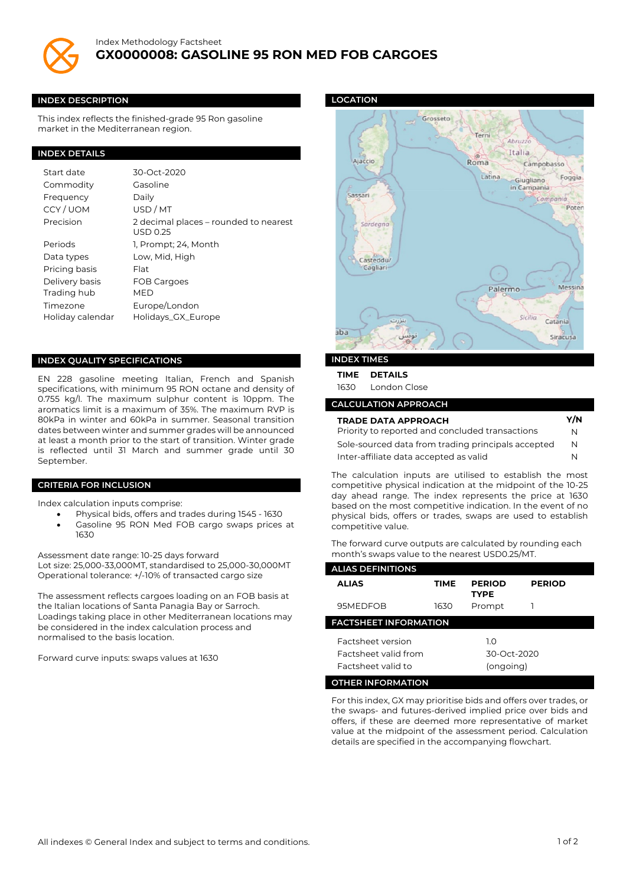

#### **INDEX DESCRIPTION**

This index reflects the finished-grade 95 Ron gasoline market in the Mediterranean region.

### **INDEX DETAILS**

| Start date       | 30-Oct-2020                                       |
|------------------|---------------------------------------------------|
| Commodity        | Gasoline                                          |
| Frequency        | Daily                                             |
| CCY/UOM          | USD/MT                                            |
| Precision        | 2 decimal places – rounded to nearest<br>USD 0.25 |
| Periods          | 1, Prompt; 24, Month                              |
| Data types       | Low, Mid, High                                    |
| Pricing basis    | Flat                                              |
| Delivery basis   | FOB Cargoes                                       |
| Trading hub      | MFD                                               |
| Timezone         | Europe/London                                     |
| Holiday calendar | Holidays_GX_Europe                                |

#### **INDEX QUALITY SPECIFICATIONS**

EN 228 gasoline meeting Italian, French and Spanish specifications, with minimum 95 RON octane and density of 0.755 kg/l. The maximum sulphur content is 10ppm. The aromatics limit is a maximum of 35%. The maximum RVP is 80kPa in winter and 60kPa in summer. Seasonal transition dates between winter and summer grades will be announced at least a month prior to the start of transition. Winter grade is reflected until 31 March and summer grade until 30 September.

#### **CRITERIA FOR INCLUSION**

Index calculation inputs comprise:

- Physical bids, offers and trades during 1545 1630
- Gasoline 95 RON Med FOB cargo swaps prices at 1630

Assessment date range: 10-25 days forward Lot size: 25,000-33,000MT, standardised to 25,000-30,000MT Operational tolerance: +/-10% of transacted cargo size

The assessment reflects cargoes loading on an FOB basis at the Italian locations of Santa Panagia Bay or Sarroch. Loadings taking place in other Mediterranean locations may be considered in the index calculation process and normalised to the basis location.

Forward curve inputs: swaps values at 1630

### **LOCATION**



## **INDEX TIMES**

**TIME DETAILS**

1630 London Close

# **CALCULATION APPROACH**

| <b>TRADE DATA APPROACH</b>                         |   |
|----------------------------------------------------|---|
| Priority to reported and concluded transactions    | N |
| Sole-sourced data from trading principals accepted | N |
| Inter-affiliate data accepted as valid             | N |

The calculation inputs are utilised to establish the most competitive physical indication at the midpoint of the 10-25 day ahead range. The index represents the price at 1630 based on the most competitive indication. In the event of no physical bids, offers or trades, swaps are used to establish competitive value.

The forward curve outputs are calculated by rounding each month's swaps value to the nearest USD0.25/MT.

| <b>ALIAS DEFINITIONS</b>                          |      |                              |               |  |  |  |
|---------------------------------------------------|------|------------------------------|---------------|--|--|--|
| <b>ALIAS</b>                                      | TIME | <b>PERIOD</b><br><b>TYPE</b> | <b>PERIOD</b> |  |  |  |
| 95MEDFOB                                          | 1630 | Prompt                       |               |  |  |  |
| <b>FACTSHEET INFORMATION</b>                      |      |                              |               |  |  |  |
| <b>Factsheet version</b>                          |      | 1.0                          |               |  |  |  |
| <b>Eactsheet valid from</b><br>Factsheet valid to |      | 30-Oct-2020<br>(ongoing)     |               |  |  |  |
| <b>OTHER INFORMATION</b>                          |      |                              |               |  |  |  |

For this index, GX may prioritise bids and offers over trades, or the swaps- and futures-derived implied price over bids and offers, if these are deemed more representative of market value at the midpoint of the assessment period. Calculation details are specified in the accompanying flowchart.